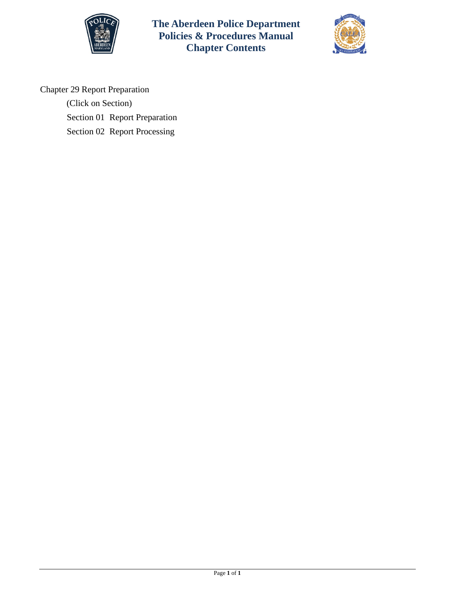

**The Aberdeen Police Department Policies & Procedures Manual Chapter Contents**



Chapter 29 Report Preparation

(Click on Section) [Section 01 Report Preparation](#page-1-0) [Section 02 Report Processing](#page-4-0)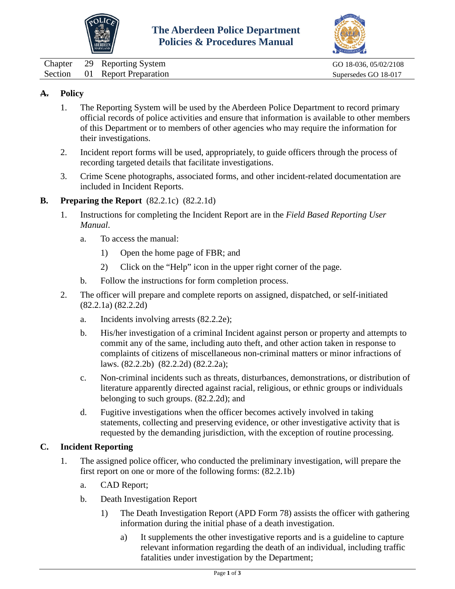



<span id="page-1-0"></span>Chapter 29 Reporting System GO 18-036, 05/02/2108 Section 01 Report Preparation Supersedes GO 18-017

# **A. Policy**

- 1. The Reporting System will be used by the Aberdeen Police Department to record primary official records of police activities and ensure that information is available to other members of this Department or to members of other agencies who may require the information for their investigations.
- 2. Incident report forms will be used, appropriately, to guide officers through the process of recording targeted details that facilitate investigations.
- 3. Crime Scene photographs, associated forms, and other incident-related documentation are included in Incident Reports.

### **B. Preparing the Report** (82.2.1c) (82.2.1d)

- 1. Instructions for completing the Incident Report are in the *Field Based Reporting User Manual*.
	- a. To access the manual:
		- 1) Open the home page of FBR; and
		- 2) Click on the "Help" icon in the upper right corner of the page.
	- b. Follow the instructions for form completion process.
- 2. The officer will prepare and complete reports on assigned, dispatched, or self-initiated (82.2.1a) (82.2.2d)
	- a. Incidents involving arrests (82.2.2e);
	- b. His/her investigation of a criminal Incident against person or property and attempts to commit any of the same, including auto theft, and other action taken in response to complaints of citizens of miscellaneous non-criminal matters or minor infractions of laws. (82.2.2b) (82.2.2d) (82.2.2a);
	- c. Non-criminal incidents such as threats, disturbances, demonstrations, or distribution of literature apparently directed against racial, religious, or ethnic groups or individuals belonging to such groups. (82.2.2d); and
	- d. Fugitive investigations when the officer becomes actively involved in taking statements, collecting and preserving evidence, or other investigative activity that is requested by the demanding jurisdiction, with the exception of routine processing.

### **C. Incident Reporting**

- 1. The assigned police officer, who conducted the preliminary investigation, will prepare the first report on one or more of the following forms: (82.2.1b)
	- a. CAD Report;
	- b. Death Investigation Report
		- 1) The Death Investigation Report (APD Form 78) assists the officer with gathering information during the initial phase of a death investigation.
			- a) It supplements the other investigative reports and is a guideline to capture relevant information regarding the death of an individual, including traffic fatalities under investigation by the Department;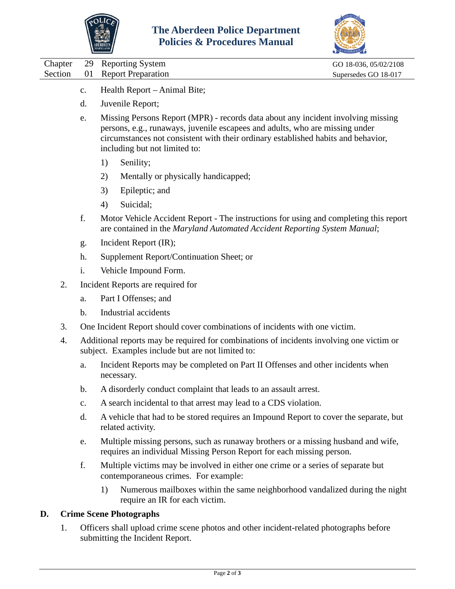



|  | Chapter 29 Reporting System   | GO 18-036, 05/02/2108 |
|--|-------------------------------|-----------------------|
|  | Section 01 Report Preparation | Supersedes GO 18-017  |

- c. Health Report Animal Bite;
- d. Juvenile Report;
- e. Missing Persons Report (MPR) records data about any incident involving missing persons, e.g., runaways, juvenile escapees and adults, who are missing under circumstances not consistent with their ordinary established habits and behavior, including but not limited to:
	- 1) Senility;
	- 2) Mentally or physically handicapped;
	- 3) Epileptic; and
	- 4) Suicidal;
- f. Motor Vehicle Accident Report The instructions for using and completing this report are contained in the *Maryland Automated Accident Reporting System Manual*;
- g. Incident Report (IR);
- h. Supplement Report/Continuation Sheet; or
- i. Vehicle Impound Form.
- 2. Incident Reports are required for
	- a. Part I Offenses; and
	- b. Industrial accidents
- 3. One Incident Report should cover combinations of incidents with one victim.
- 4. Additional reports may be required for combinations of incidents involving one victim or subject. Examples include but are not limited to:
	- a. Incident Reports may be completed on Part II Offenses and other incidents when necessary.
	- b. A disorderly conduct complaint that leads to an assault arrest.
	- c. A search incidental to that arrest may lead to a CDS violation.
	- d. A vehicle that had to be stored requires an Impound Report to cover the separate, but related activity.
	- e. Multiple missing persons, such as runaway brothers or a missing husband and wife, requires an individual Missing Person Report for each missing person.
	- f. Multiple victims may be involved in either one crime or a series of separate but contemporaneous crimes. For example:
		- 1) Numerous mailboxes within the same neighborhood vandalized during the night require an IR for each victim.

# **D. Crime Scene Photographs**

1. Officers shall upload crime scene photos and other incident-related photographs before submitting the Incident Report.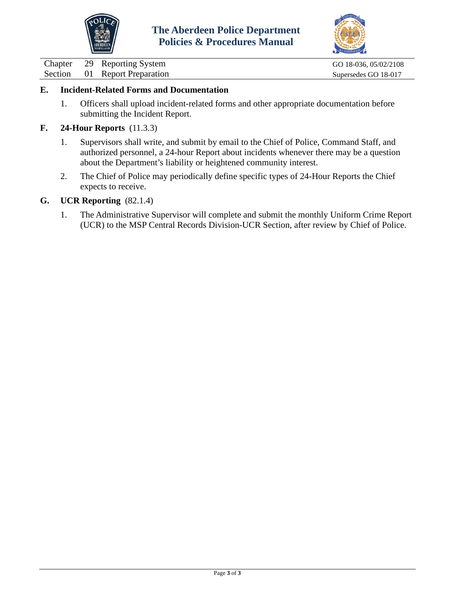



01 Report Preparation Supersedes GO 18-017

Chapter 29 Reporting System GO 18-036, 05/02/2108<br>
Section 01 Report Preparation Supersedes GO 18-017

### **E. Incident-Related Forms and Documentation**

- 1. Officers shall upload incident-related forms and other appropriate documentation before submitting the Incident Report.
- **F. 24-Hour Reports** (11.3.3)
	- 1. Supervisors shall write, and submit by email to the Chief of Police, Command Staff, and authorized personnel, a 24-hour Report about incidents whenever there may be a question about the Department's liability or heightened community interest.
	- 2. The Chief of Police may periodically define specific types of 24-Hour Reports the Chief expects to receive.

### **G. UCR Reporting** (82.1.4)

1. The Administrative Supervisor will complete and submit the monthly Uniform Crime Report (UCR) to the MSP Central Records Division-UCR Section, after review by Chief of Police.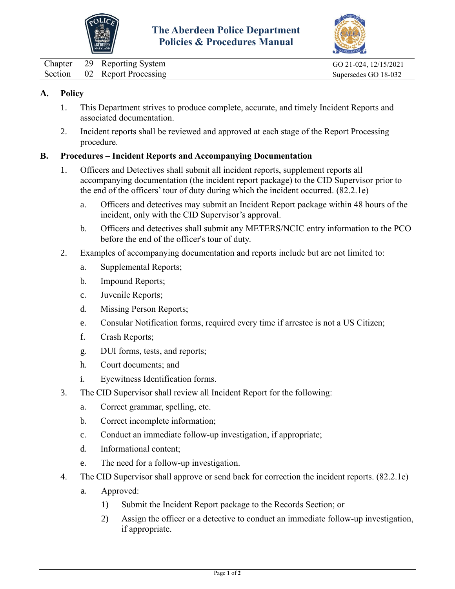



<span id="page-4-0"></span>Chapter 29 Reporting System GO 21-024, 12/15/2021 Section 02 Report Processing Supersedes GO 18-032

## **A. Policy**

- 1. This Department strives to produce complete, accurate, and timely Incident Reports and associated documentation.
- 2. Incident reports shall be reviewed and approved at each stage of the Report Processing procedure.

### **B. Procedures – Incident Reports and Accompanying Documentation**

- 1. Officers and Detectives shall submit all incident reports, supplement reports all accompanying documentation (the incident report package) to the CID Supervisor prior to the end of the officers' tour of duty during which the incident occurred. (82.2.1e)
	- a. Officers and detectives may submit an Incident Report package within 48 hours of the incident, only with the CID Supervisor's approval.
	- b. Officers and detectives shall submit any METERS/NCIC entry information to the PCO before the end of the officer's tour of duty.
- 2. Examples of accompanying documentation and reports include but are not limited to:
	- a. Supplemental Reports;
	- b. Impound Reports;
	- c. Juvenile Reports;
	- d. Missing Person Reports;
	- e. Consular Notification forms, required every time if arrestee is not a US Citizen;
	- f. Crash Reports;
	- g. DUI forms, tests, and reports;
	- h. Court documents; and
	- i. Eyewitness Identification forms.
- 3. The CID Supervisor shall review all Incident Report for the following:
	- a. Correct grammar, spelling, etc.
	- b. Correct incomplete information;
	- c. Conduct an immediate follow-up investigation, if appropriate;
	- d. Informational content;
	- e. The need for a follow-up investigation.
- 4. The CID Supervisor shall approve or send back for correction the incident reports. (82.2.1e)
	- a. Approved:
		- 1) Submit the Incident Report package to the Records Section; or
		- 2) Assign the officer or a detective to conduct an immediate follow-up investigation, if appropriate.